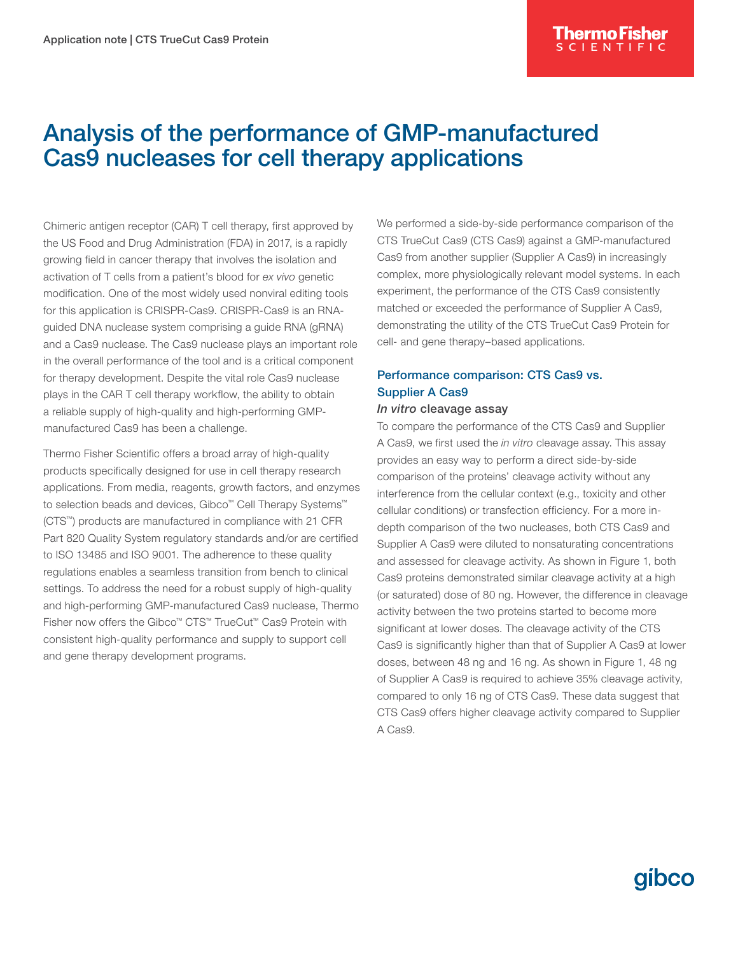## Analysis of the performance of GMP-manufactured Cas9 nucleases for cell therapy applications

Chimeric antigen receptor (CAR) T cell therapy, first approved by the US Food and Drug Administration (FDA) in 2017, is a rapidly growing field in cancer therapy that involves the isolation and activation of T cells from a patient's blood for *ex vivo* genetic modification. One of the most widely used nonviral editing tools for this application is CRISPR-Cas9. CRISPR-Cas9 is an RNAguided DNA nuclease system comprising a guide RNA (gRNA) and a Cas9 nuclease. The Cas9 nuclease plays an important role in the overall performance of the tool and is a critical component for therapy development. Despite the vital role Cas9 nuclease plays in the CAR T cell therapy workflow, the ability to obtain a reliable supply of high-quality and high-performing GMPmanufactured Cas9 has been a challenge.

Thermo Fisher Scientific offers a broad array of high-quality products specifically designed for use in cell therapy research applications. From media, reagents, growth factors, and enzymes to selection beads and devices, Gibco™ Cell Therapy Systems™ (CTS™) products are manufactured in compliance with 21 CFR Part 820 Quality System regulatory standards and/or are certified to ISO 13485 and ISO 9001. The adherence to these quality regulations enables a seamless transition from bench to clinical settings. To address the need for a robust supply of high-quality and high-performing GMP-manufactured Cas9 nuclease, Thermo Fisher now offers the Gibco™ CTS™ TrueCut™ Cas9 Protein with consistent high-quality performance and supply to support cell and gene therapy development programs.

We performed a side-by-side performance comparison of the CTS TrueCut Cas9 (CTS Cas9) against a GMP-manufactured Cas9 from another supplier (Supplier A Cas9) in increasingly complex, more physiologically relevant model systems. In each experiment, the performance of the CTS Cas9 consistently matched or exceeded the performance of Supplier A Cas9, demonstrating the utility of the CTS TrueCut Cas9 Protein for cell- and gene therapy–based applications.

### Performance comparison: CTS Cas9 vs. Supplier A Cas9

### *In vitro* cleavage assay

To compare the performance of the CTS Cas9 and Supplier A Cas9, we first used the *in vitro* cleavage assay. This assay provides an easy way to perform a direct side-by-side comparison of the proteins' cleavage activity without any interference from the cellular context (e.g., toxicity and other cellular conditions) or transfection efficiency. For a more indepth comparison of the two nucleases, both CTS Cas9 and Supplier A Cas9 were diluted to nonsaturating concentrations and assessed for cleavage activity. As shown in Figure 1, both Cas9 proteins demonstrated similar cleavage activity at a high (or saturated) dose of 80 ng. However, the difference in cleavage activity between the two proteins started to become more significant at lower doses. The cleavage activity of the CTS Cas9 is significantly higher than that of Supplier A Cas9 at lower doses, between 48 ng and 16 ng. As shown in Figure 1, 48 ng of Supplier A Cas9 is required to achieve 35% cleavage activity, compared to only 16 ng of CTS Cas9. These data suggest that CTS Cas9 offers higher cleavage activity compared to Supplier A Cas9.

# qibco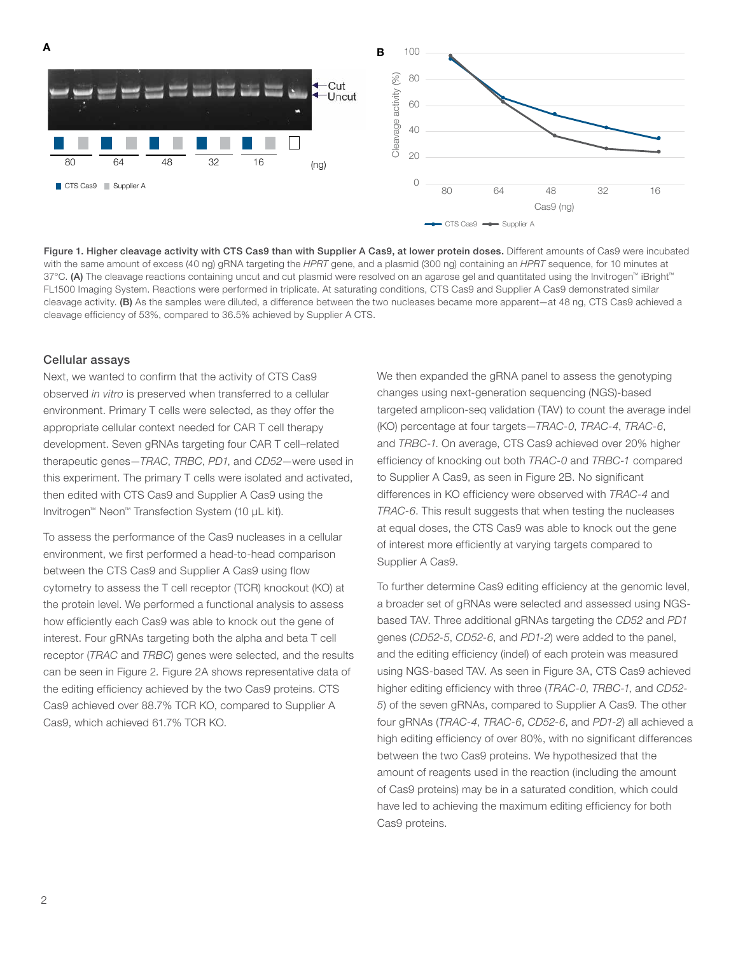

Figure 1. Higher cleavage activity with CTS Cas9 than with Supplier A Cas9, at lower protein doses. Different amounts of Cas9 were incubated with the same amount of excess (40 ng) gRNA targeting the *HPRT* gene, and a plasmid (300 ng) containing an *HPRT* sequence, for 10 minutes at 37°C. (A) The cleavage reactions containing uncut and cut plasmid were resolved on an agarose gel and quantitated using the Invitrogen™ iBright™ FL1500 Imaging System. Reactions were performed in triplicate. At saturating conditions, CTS Cas9 and Supplier A Cas9 demonstrated similar cleavage activity. (B) As the samples were diluted, a difference between the two nucleases became more apparent—at 48 ng, CTS Cas9 achieved a cleavage efficiency of 53%, compared to 36.5% achieved by Supplier A CTS.

### Cellular assays

Next, we wanted to confirm that the activity of CTS Cas9 observed *in vitro* is preserved when transferred to a cellular environment. Primary T cells were selected, as they offer the appropriate cellular context needed for CAR T cell therapy development. Seven gRNAs targeting four CAR T cell–related therapeutic genes—*TRAC*, *TRBC*, *PD1*, and *CD52*—were used in this experiment. The primary T cells were isolated and activated, then edited with CTS Cas9 and Supplier A Cas9 using the Invitrogen™ Neon™ Transfection System (10 μL kit).

To assess the performance of the Cas9 nucleases in a cellular environment, we first performed a head-to-head comparison between the CTS Cas9 and Supplier A Cas9 using flow cytometry to assess the T cell receptor (TCR) knockout (KO) at the protein level. We performed a functional analysis to assess how efficiently each Cas9 was able to knock out the gene of interest. Four gRNAs targeting both the alpha and beta T cell receptor (*TRAC* and *TRBC*) genes were selected, and the results can be seen in Figure 2. Figure 2A shows representative data of the editing efficiency achieved by the two Cas9 proteins. CTS Cas9 achieved over 88.7% TCR KO, compared to Supplier A Cas9, which achieved 61.7% TCR KO.

We then expanded the gRNA panel to assess the genotyping changes using next-generation sequencing (NGS)-based targeted amplicon-seq validation (TAV) to count the average indel (KO) percentage at four targets—*TRAC-0*, *TRAC-4*, *TRAC-6*, and *TRBC-1*. On average, CTS Cas9 achieved over 20% higher efficiency of knocking out both *TRAC-0* and *TRBC-1* compared to Supplier A Cas9, as seen in Figure 2B. No significant differences in KO efficiency were observed with *TRAC-4* and *TRAC-6*. This result suggests that when testing the nucleases at equal doses, the CTS Cas9 was able to knock out the gene of interest more efficiently at varying targets compared to Supplier A Cas9.

To further determine Cas9 editing efficiency at the genomic level, a broader set of gRNAs were selected and assessed using NGSbased TAV. Three additional gRNAs targeting the *CD52* and *PD1* genes (*CD52-5*, *CD52-6*, and *PD1-2*) were added to the panel, and the editing efficiency (indel) of each protein was measured using NGS-based TAV. As seen in Figure 3A, CTS Cas9 achieved higher editing efficiency with three (*TRAC-0*, *TRBC-1*, and *CD52- 5*) of the seven gRNAs, compared to Supplier A Cas9. The other four gRNAs (*TRAC-4*, *TRAC-6*, *CD52-6*, and *PD1-2*) all achieved a high editing efficiency of over 80%, with no significant differences between the two Cas9 proteins. We hypothesized that the amount of reagents used in the reaction (including the amount of Cas9 proteins) may be in a saturated condition, which could have led to achieving the maximum editing efficiency for both Cas9 proteins.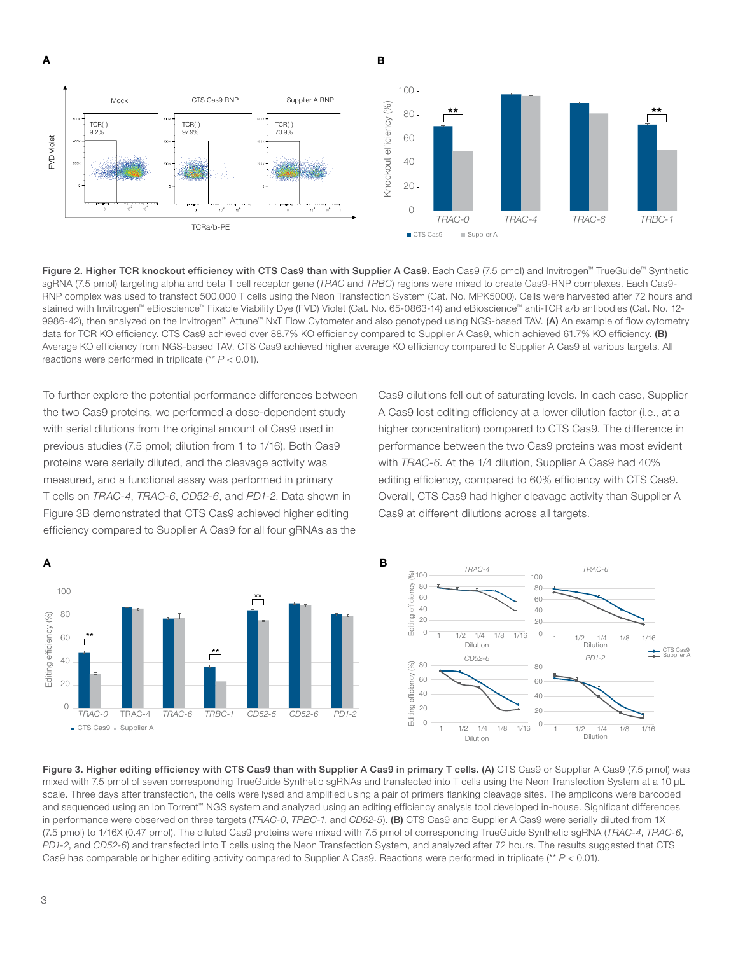A B



Figure 2. Higher TCR knockout efficiency with CTS Cas9 than with Supplier A Cas9. Each Cas9 (7.5 pmol) and Invitrogen™ TrueGuide™ Synthetic sgRNA (7.5 pmol) targeting alpha and beta T cell receptor gene (*TRAC* and *TRBC*) regions were mixed to create Cas9-RNP complexes. Each Cas9- RNP complex was used to transfect 500,000 T cells using the Neon Transfection System (Cat. No. MPK5000). Cells were harvested after 72 hours and stained with Invitrogen™ eBioscience™ Fixable Viability Dye (FVD) Violet (Cat. No. 65-0863-14) and eBioscience™ anti-TCR a/b antibodies (Cat. No. 12- 9986-42), then analyzed on the Invitrogen™ Attune™ NxT Flow Cytometer and also genotyped using NGS-based TAV. (A) An example of flow cytometry data for TCR KO efficiency. CTS Cas9 achieved over 88.7% KO efficiency compared to Supplier A Cas9, which achieved 61.7% KO efficiency. (B) Average KO efficiency from NGS-based TAV. CTS Cas9 achieved higher average KO efficiency compared to Supplier A Cas9 at various targets. All reactions were performed in triplicate (\*\* *P* < 0.01).

To further explore the potential performance differences between the two Cas9 proteins, we performed a dose-dependent study with serial dilutions from the original amount of Cas9 used in previous studies (7.5 pmol; dilution from 1 to 1/16). Both Cas9 proteins were serially diluted, and the cleavage activity was measured, and a functional assay was performed in primary T cells on *TRAC-4*, *TRAC-6*, *CD52-6*, and *PD1-2*. Data shown in Figure 3B demonstrated that CTS Cas9 achieved higher editing efficiency compared to Supplier A Cas9 for all four gRNAs as the

Cas9 dilutions fell out of saturating levels. In each case, Supplier A Cas9 lost editing efficiency at a lower dilution factor (i.e., at a higher concentration) compared to CTS Cas9. The difference in performance between the two Cas9 proteins was most evident with *TRAC-6*. At the 1/4 dilution, Supplier A Cas9 had 40% editing efficiency, compared to 60% efficiency with CTS Cas9. Overall, CTS Cas9 had higher cleavage activity than Supplier A Cas9 at different dilutions across all targets.





Figure 3. Higher editing efficiency with CTS Cas9 than with Supplier A Cas9 in primary T cells. (A) CTS Cas9 or Supplier A Cas9 (7.5 pmol) was mixed with 7.5 pmol of seven corresponding TrueGuide Synthetic sgRNAs and transfected into T cells using the Neon Transfection System at a 10 µL scale. Three days after transfection, the cells were lysed and amplified using a pair of primers flanking cleavage sites. The amplicons were barcoded and sequenced using an Ion Torrent™ NGS system and analyzed using an editing efficiency analysis tool developed in-house. Significant differences in performance were observed on three targets (*TRAC-0*, *TRBC-1*, and *CD52-5*). (B) CTS Cas9 and Supplier A Cas9 were serially diluted from 1X (7.5 pmol) to 1/16X (0.47 pmol). The diluted Cas9 proteins were mixed with 7.5 pmol of corresponding TrueGuide Synthetic sgRNA (*TRAC-4*, *TRAC-6*, *PD1-2*, and *CD52-6*) and transfected into T cells using the Neon Transfection System, and analyzed after 72 hours. The results suggested that CTS Cas9 has comparable or higher editing activity compared to Supplier A Cas9. Reactions were performed in triplicate (\*\* *P* < 0.01).